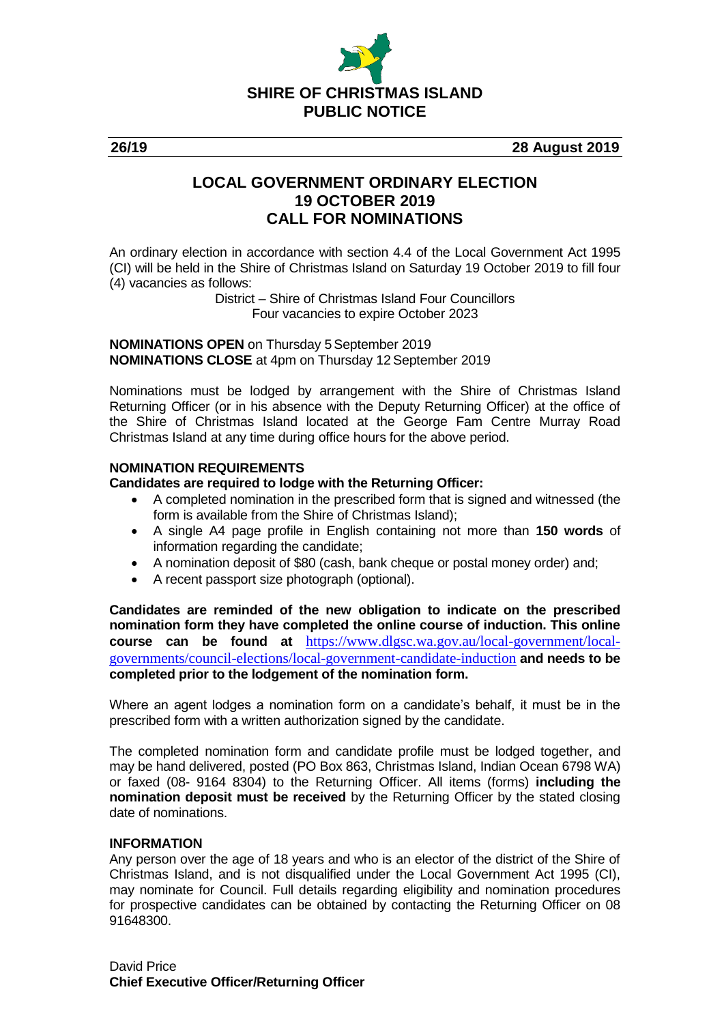

**26/19 28 August 2019**

## **LOCAL GOVERNMENT ORDINARY ELECTION 19 OCTOBER 2019 CALL FOR NOMINATIONS**

An ordinary election in accordance with section 4.4 of the Local Government Act 1995 (CI) will be held in the Shire of Christmas Island on Saturday 19 October 2019 to fill four (4) vacancies as follows:

> District – Shire of Christmas Island Four Councillors Four vacancies to expire October 2023

**NOMINATIONS OPEN on Thursday 5 September 2019 NOMINATIONS CLOSE** at 4pm on Thursday 12 September 2019

Nominations must be lodged by arrangement with the Shire of Christmas Island Returning Officer (or in his absence with the Deputy Returning Officer) at the office of the Shire of Christmas Island located at the George Fam Centre Murray Road Christmas Island at any time during office hours for the above period.

## **NOMINATION REQUIREMENTS**

#### **Candidates are required to lodge with the Returning Officer:**

- A completed nomination in the prescribed form that is signed and witnessed (the form is available from the Shire of Christmas Island);
- A single A4 page profile in English containing not more than **150 words** of information regarding the candidate;
- A nomination deposit of \$80 (cash, bank cheque or postal money order) and;
- A recent passport size photograph (optional).

**Candidates are reminded of the new obligation to indicate on the prescribed nomination form they have completed the online course of induction. This online course can be found at** [https://www.dlgsc.wa.gov.au/local-government/local](https://www.dlgsc.wa.gov.au/local-government/local-governments/council-elections/local-government-candidate-induction)[governments/council-elections/local-government-candidate-induction](https://www.dlgsc.wa.gov.au/local-government/local-governments/council-elections/local-government-candidate-induction) **and needs to be completed prior to the lodgement of the nomination form.**

Where an agent lodges a nomination form on a candidate's behalf, it must be in the prescribed form with a written authorization signed by the candidate.

The completed nomination form and candidate profile must be lodged together, and may be hand delivered, posted (PO Box 863, Christmas Island, Indian Ocean 6798 WA) or faxed (08- 9164 8304) to the Returning Officer. All items (forms) **including the nomination deposit must be received** by the Returning Officer by the stated closing date of nominations.

#### **INFORMATION**

Any person over the age of 18 years and who is an elector of the district of the Shire of Christmas Island, and is not disqualified under the Local Government Act 1995 (CI), may nominate for Council. Full details regarding eligibility and nomination procedures for prospective candidates can be obtained by contacting the Returning Officer on 08 91648300.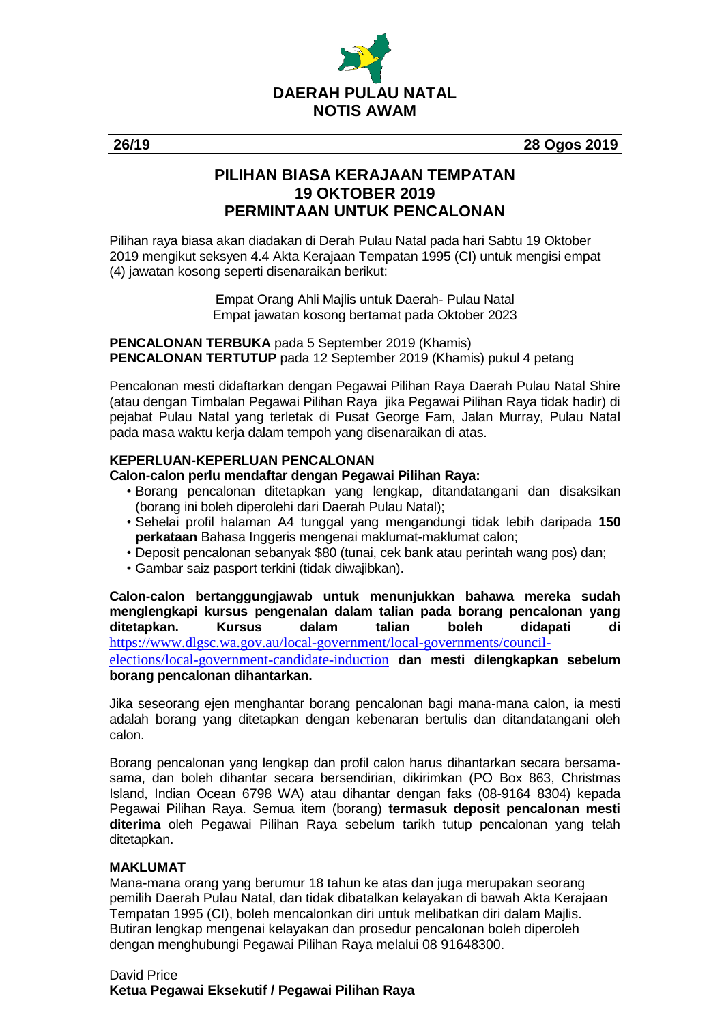

**26/19 28 Ogos 2019**

# **PILIHAN BIASA KERAJAAN TEMPATAN 19 OKTOBER 2019 PERMINTAAN UNTUK PENCALONAN**

Pilihan raya biasa akan diadakan di Derah Pulau Natal pada hari Sabtu 19 Oktober 2019 mengikut seksyen 4.4 Akta Kerajaan Tempatan 1995 (CI) untuk mengisi empat (4) jawatan kosong seperti disenaraikan berikut:

> Empat Orang Ahli Majlis untuk Daerah- Pulau Natal Empat jawatan kosong bertamat pada Oktober 2023

**PENCALONAN TERBUKA** pada 5 September 2019 (Khamis) **PENCALONAN TERTUTUP** pada 12 September 2019 (Khamis) pukul 4 petang

Pencalonan mesti didaftarkan dengan Pegawai Pilihan Raya Daerah Pulau Natal Shire (atau dengan Timbalan Pegawai Pilihan Raya jika Pegawai Pilihan Raya tidak hadir) di pejabat Pulau Natal yang terletak di Pusat George Fam, Jalan Murray, Pulau Natal pada masa waktu kerja dalam tempoh yang disenaraikan di atas.

## **KEPERLUAN-KEPERLUAN PENCALONAN**

## **Calon-calon perlu mendaftar dengan Pegawai Pilihan Raya:**

- Borang pencalonan ditetapkan yang lengkap, ditandatangani dan disaksikan (borang ini boleh diperolehi dari Daerah Pulau Natal);
- Sehelai profil halaman A4 tunggal yang mengandungi tidak lebih daripada **150 perkataan** Bahasa Inggeris mengenai maklumat-maklumat calon;
- Deposit pencalonan sebanyak \$80 (tunai, cek bank atau perintah wang pos) dan;
- Gambar saiz pasport terkini (tidak diwajibkan).

**Calon-calon bertanggungjawab untuk menunjukkan bahawa mereka sudah menglengkapi kursus pengenalan dalam talian pada borang pencalonan yang ditetapkan. Kursus dalam talian boleh didapati di**  [https://www.dlgsc.wa.gov.au/local-government/local-governments/council](https://www.dlgsc.wa.gov.au/local-government/local-governments/council-elections/local-government-candidate-induction)[elections/local-government-candidate-induction](https://www.dlgsc.wa.gov.au/local-government/local-governments/council-elections/local-government-candidate-induction) **dan mesti dilengkapkan sebelum borang pencalonan dihantarkan.**

Jika seseorang ejen menghantar borang pencalonan bagi mana-mana calon, ia mesti adalah borang yang ditetapkan dengan kebenaran bertulis dan ditandatangani oleh calon.

Borang pencalonan yang lengkap dan profil calon harus dihantarkan secara bersamasama, dan boleh dihantar secara bersendirian, dikirimkan (PO Box 863, Christmas Island, Indian Ocean 6798 WA) atau dihantar dengan faks (08-9164 8304) kepada Pegawai Pilihan Raya. Semua item (borang) **termasuk deposit pencalonan mesti diterima** oleh Pegawai Pilihan Raya sebelum tarikh tutup pencalonan yang telah ditetapkan.

#### **MAKLUMAT**

Mana-mana orang yang berumur 18 tahun ke atas dan juga merupakan seorang pemilih Daerah Pulau Natal, dan tidak dibatalkan kelayakan di bawah Akta Kerajaan Tempatan 1995 (CI), boleh mencalonkan diri untuk melibatkan diri dalam Majlis. Butiran lengkap mengenai kelayakan dan prosedur pencalonan boleh diperoleh dengan menghubungi Pegawai Pilihan Raya melalui 08 91648300.